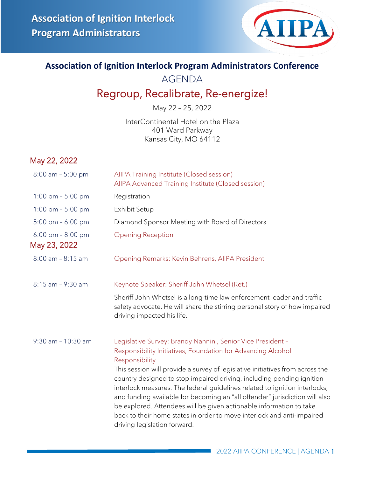

#### **Association of Ignition Interlock Program Administrators Conference**

AGENDA

### Regroup, Recalibrate, Re-energize!

May 22 – 25, 2022

InterContinental Hotel on the Plaza 401 Ward Parkway Kansas City, MO 64112

#### May 22, 2022

| 8:00 am - 5:00 pm                                   | AIIPA Training Institute (Closed session)<br>AIIPA Advanced Training Institute (Closed session)                                                                                                                                                                                                                                                                                                                                                                                                                                                                                                                                                       |
|-----------------------------------------------------|-------------------------------------------------------------------------------------------------------------------------------------------------------------------------------------------------------------------------------------------------------------------------------------------------------------------------------------------------------------------------------------------------------------------------------------------------------------------------------------------------------------------------------------------------------------------------------------------------------------------------------------------------------|
| 1:00 pm $-$ 5:00 pm                                 | Registration                                                                                                                                                                                                                                                                                                                                                                                                                                                                                                                                                                                                                                          |
| 1:00 pm $-5:00$ pm                                  | <b>Exhibit Setup</b>                                                                                                                                                                                                                                                                                                                                                                                                                                                                                                                                                                                                                                  |
| 5:00 pm $-6:00$ pm                                  | Diamond Sponsor Meeting with Board of Directors                                                                                                                                                                                                                                                                                                                                                                                                                                                                                                                                                                                                       |
| $6:00 \text{ pm} - 8:00 \text{ pm}$<br>May 23, 2022 | <b>Opening Reception</b>                                                                                                                                                                                                                                                                                                                                                                                                                                                                                                                                                                                                                              |
| $8:00$ am - $8:15$ am                               | Opening Remarks: Kevin Behrens, AllPA President                                                                                                                                                                                                                                                                                                                                                                                                                                                                                                                                                                                                       |
| 8:15 am - 9:30 am                                   | Keynote Speaker: Sheriff John Whetsel (Ret.)                                                                                                                                                                                                                                                                                                                                                                                                                                                                                                                                                                                                          |
|                                                     | Sheriff John Whetsel is a long-time law enforcement leader and traffic<br>safety advocate. He will share the stirring personal story of how impaired<br>driving impacted his life.                                                                                                                                                                                                                                                                                                                                                                                                                                                                    |
| 9:30 am - 10:30 am                                  | Legislative Survey: Brandy Nannini, Senior Vice President -<br>Responsibility Initiatives, Foundation for Advancing Alcohol<br>Responsibility<br>This session will provide a survey of legislative initiatives from across the<br>country designed to stop impaired driving, including pending ignition<br>interlock measures. The federal guidelines related to ignition interlocks,<br>and funding available for becoming an "all offender" jurisdiction will also<br>be explored. Attendees will be given actionable information to take<br>back to their home states in order to move interlock and anti-impaired<br>driving legislation forward. |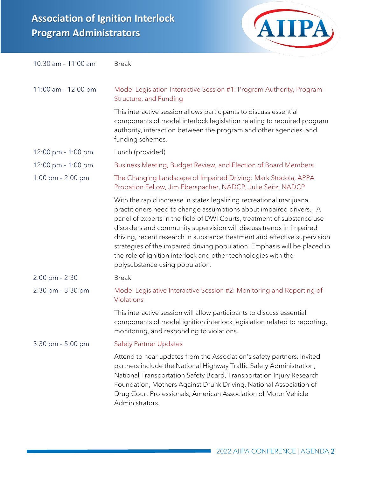# **Association of Ignition Interlock Program Administrators**



| 10:30 am - 11:00 am                  | <b>Break</b>                                                                                                                                                                                                                                                                                                                                                                                                                                                                                                                                                |
|--------------------------------------|-------------------------------------------------------------------------------------------------------------------------------------------------------------------------------------------------------------------------------------------------------------------------------------------------------------------------------------------------------------------------------------------------------------------------------------------------------------------------------------------------------------------------------------------------------------|
| 11:00 am - 12:00 pm                  | Model Legislation Interactive Session #1: Program Authority, Program<br>Structure, and Funding                                                                                                                                                                                                                                                                                                                                                                                                                                                              |
|                                      | This interactive session allows participants to discuss essential<br>components of model interlock legislation relating to required program<br>authority, interaction between the program and other agencies, and<br>funding schemes.                                                                                                                                                                                                                                                                                                                       |
| $12:00 \text{ pm} - 1:00 \text{ pm}$ | Lunch (provided)                                                                                                                                                                                                                                                                                                                                                                                                                                                                                                                                            |
| $12:00 \text{ pm} - 1:00 \text{ pm}$ | Business Meeting, Budget Review, and Election of Board Members                                                                                                                                                                                                                                                                                                                                                                                                                                                                                              |
| 1:00 pm $- 2:00$ pm                  | The Changing Landscape of Impaired Driving: Mark Stodola, APPA<br>Probation Fellow, Jim Eberspacher, NADCP, Julie Seitz, NADCP                                                                                                                                                                                                                                                                                                                                                                                                                              |
|                                      | With the rapid increase in states legalizing recreational marijuana,<br>practitioners need to change assumptions about impaired drivers. A<br>panel of experts in the field of DWI Courts, treatment of substance use<br>disorders and community supervision will discuss trends in impaired<br>driving, recent research in substance treatment and effective supervision<br>strategies of the impaired driving population. Emphasis will be placed in<br>the role of ignition interlock and other technologies with the<br>polysubstance using population. |
| $2:00 \text{ pm} - 2:30$             | <b>Break</b>                                                                                                                                                                                                                                                                                                                                                                                                                                                                                                                                                |
| 2:30 pm - 3:30 pm                    | Model Legislative Interactive Session #2: Monitoring and Reporting of<br>Violations                                                                                                                                                                                                                                                                                                                                                                                                                                                                         |
|                                      | This interactive session will allow participants to discuss essential<br>components of model ignition interlock legislation related to reporting,<br>monitoring, and responding to violations.                                                                                                                                                                                                                                                                                                                                                              |
| 3:30 pm - 5:00 pm                    | <b>Safety Partner Updates</b>                                                                                                                                                                                                                                                                                                                                                                                                                                                                                                                               |
|                                      | Attend to hear updates from the Association's safety partners. Invited<br>partners include the National Highway Traffic Safety Administration,<br>National Transportation Safety Board, Transportation Injury Research<br>Foundation, Mothers Against Drunk Driving, National Association of<br>Drug Court Professionals, American Association of Motor Vehicle<br>Administrators.                                                                                                                                                                          |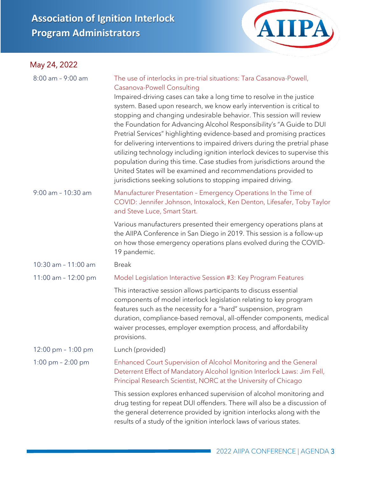# **Association of Ignition Interlock Program Administrators**

### May 24, 2022



| $8:00$ am - 9:00 am    | The use of interlocks in pre-trial situations: Tara Casanova-Powell,<br>Casanova-Powell Consulting<br>Impaired-driving cases can take a long time to resolve in the justice<br>system. Based upon research, we know early intervention is critical to<br>stopping and changing undesirable behavior. This session will review<br>the Foundation for Advancing Alcohol Responsibility's "A Guide to DUI<br>Pretrial Services" highlighting evidence-based and promising practices<br>for delivering interventions to impaired drivers during the pretrial phase<br>utilizing technology including ignition interlock devices to supervise this<br>population during this time. Case studies from jurisdictions around the<br>United States will be examined and recommendations provided to<br>jurisdictions seeking solutions to stopping impaired driving. |
|------------------------|-------------------------------------------------------------------------------------------------------------------------------------------------------------------------------------------------------------------------------------------------------------------------------------------------------------------------------------------------------------------------------------------------------------------------------------------------------------------------------------------------------------------------------------------------------------------------------------------------------------------------------------------------------------------------------------------------------------------------------------------------------------------------------------------------------------------------------------------------------------|
| $9:00$ am - $10:30$ am | Manufacturer Presentation - Emergency Operations In the Time of<br>COVID: Jennifer Johnson, Intoxalock, Ken Denton, Lifesafer, Toby Taylor<br>and Steve Luce, Smart Start.                                                                                                                                                                                                                                                                                                                                                                                                                                                                                                                                                                                                                                                                                  |
|                        | Various manufacturers presented their emergency operations plans at<br>the AIIPA Conference in San Diego in 2019. This session is a follow-up<br>on how those emergency operations plans evolved during the COVID-<br>19 pandemic.                                                                                                                                                                                                                                                                                                                                                                                                                                                                                                                                                                                                                          |
| 10:30 am - 11:00 am    | <b>Break</b>                                                                                                                                                                                                                                                                                                                                                                                                                                                                                                                                                                                                                                                                                                                                                                                                                                                |
| 11:00 am - 12:00 pm    | Model Legislation Interactive Session #3: Key Program Features                                                                                                                                                                                                                                                                                                                                                                                                                                                                                                                                                                                                                                                                                                                                                                                              |
|                        | This interactive session allows participants to discuss essential<br>components of model interlock legislation relating to key program<br>features such as the necessity for a "hard" suspension, program<br>duration, compliance-based removal, all-offender components, medical<br>waiver processes, employer exemption process, and affordability<br>provisions.                                                                                                                                                                                                                                                                                                                                                                                                                                                                                         |
| 12:00 pm $-1:00$ pm    | Lunch (provided)                                                                                                                                                                                                                                                                                                                                                                                                                                                                                                                                                                                                                                                                                                                                                                                                                                            |
| 1:00 pm $- 2:00$ pm    | Enhanced Court Supervision of Alcohol Monitoring and the General<br>Deterrent Effect of Mandatory Alcohol Ignition Interlock Laws: Jim Fell,<br>Principal Research Scientist, NORC at the University of Chicago                                                                                                                                                                                                                                                                                                                                                                                                                                                                                                                                                                                                                                             |
|                        | This session explores enhanced supervision of alcohol monitoring and<br>drug testing for repeat DUI offenders. There will also be a discussion of<br>the general deterrence provided by ignition interlocks along with the<br>results of a study of the ignition interlock laws of various states.                                                                                                                                                                                                                                                                                                                                                                                                                                                                                                                                                          |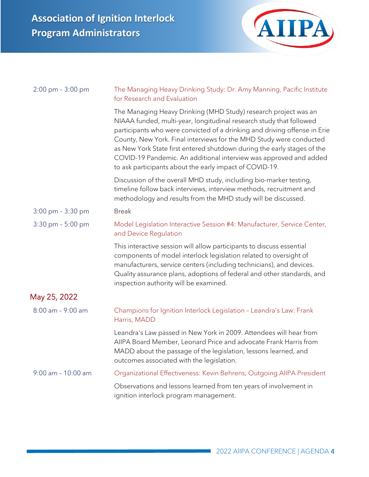

| $2:00 \text{ pm} - 3:00 \text{ pm}$ | The Managing Heavy Drinking Study: Dr. Amy Manning, Pacific Institute<br>for Research and Evaluation                                                                                                                                                                                                                                                                                                                                                                                                  |
|-------------------------------------|-------------------------------------------------------------------------------------------------------------------------------------------------------------------------------------------------------------------------------------------------------------------------------------------------------------------------------------------------------------------------------------------------------------------------------------------------------------------------------------------------------|
|                                     | The Managing Heavy Drinking (MHD Study) research project was an<br>NIAAA funded, multi-year, longitudinal research study that followed<br>participants who were convicted of a drinking and driving offense in Erie<br>County, New York. Final interviews for the MHD Study were conducted<br>as New York State first entered shutdown during the early stages of the<br>COVID-19 Pandemic. An additional interview was approved and added<br>to ask participants about the early impact of COVID-19. |
|                                     | Discussion of the overall MHD study, including bio-marker testing,<br>timeline follow back interviews, interview methods, recruitment and<br>methodology and results from the MHD study will be discussed.                                                                                                                                                                                                                                                                                            |
| $3:00 \text{ pm} - 3:30 \text{ pm}$ | <b>Break</b>                                                                                                                                                                                                                                                                                                                                                                                                                                                                                          |
| 3:30 pm - 5:00 pm                   | Model Legislation Interactive Session #4: Manufacturer, Service Center,<br>and Device Regulation                                                                                                                                                                                                                                                                                                                                                                                                      |
|                                     | This interactive session will allow participants to discuss essential<br>components of model interlock legislation related to oversight of<br>manufacturers, service centers (including technicians), and devices.<br>Quality assurance plans, adoptions of federal and other standards, and<br>inspection authority will be examined.                                                                                                                                                                |
| May 25, 2022                        |                                                                                                                                                                                                                                                                                                                                                                                                                                                                                                       |
| 8:00 am - 9:00 am                   | Champions for Ignition Interlock Legislation - Leandra's Law: Frank<br>Harris, MADD                                                                                                                                                                                                                                                                                                                                                                                                                   |
|                                     | Leandra's Law passed in New York in 2009. Attendees will hear from<br>AIIPA Board Member, Leonard Price and advocate Frank Harris from<br>MADD about the passage of the legislation, lessons learned, and<br>outcomes associated with the legislation.                                                                                                                                                                                                                                                |
| 9:00 am - 10:00 am                  | Organizational Effectiveness: Kevin Behrens, Outgoing AIIPA President                                                                                                                                                                                                                                                                                                                                                                                                                                 |
|                                     | Observations and lessons learned from ten years of involvement in<br>ignition interlock program management.                                                                                                                                                                                                                                                                                                                                                                                           |